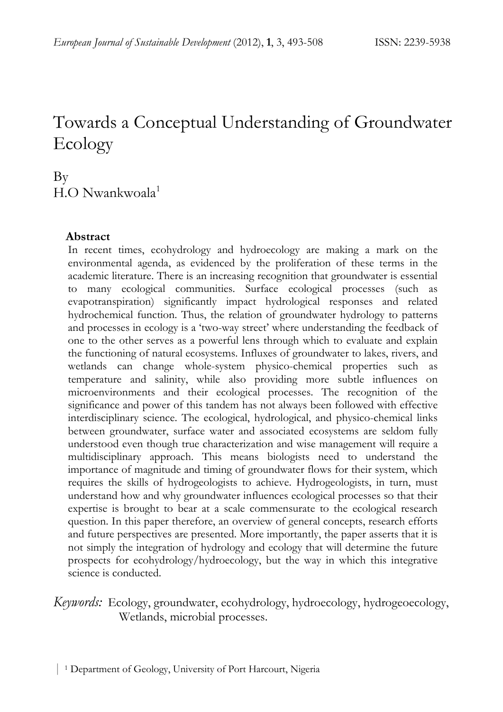# Towards a Conceptual Understanding of Groundwater Ecology

## By H.O Nwankwoala<sup>1</sup>

#### **Abstract**

In recent times, ecohydrology and hydroecology are making a mark on the environmental agenda, as evidenced by the proliferation of these terms in the academic literature. There is an increasing recognition that groundwater is essential to many ecological communities. Surface ecological processes (such as evapotranspiration) significantly impact hydrological responses and related hydrochemical function. Thus, the relation of groundwater hydrology to patterns and processes in ecology is a 'two-way street' where understanding the feedback of one to the other serves as a powerful lens through which to evaluate and explain the functioning of natural ecosystems. Influxes of groundwater to lakes, rivers, and wetlands can change whole-system physico-chemical properties such as temperature and salinity, while also providing more subtle influences on microenvironments and their ecological processes. The recognition of the significance and power of this tandem has not always been followed with effective interdisciplinary science. The ecological, hydrological, and physico-chemical links between groundwater, surface water and associated ecosystems are seldom fully understood even though true characterization and wise management will require a multidisciplinary approach. This means biologists need to understand the importance of magnitude and timing of groundwater flows for their system, which requires the skills of hydrogeologists to achieve. Hydrogeologists, in turn, must understand how and why groundwater influences ecological processes so that their expertise is brought to bear at a scale commensurate to the ecological research question. In this paper therefore, an overview of general concepts, research efforts and future perspectives are presented. More importantly, the paper asserts that it is not simply the integration of hydrology and ecology that will determine the future prospects for ecohydrology/hydroecology, but the way in which this integrative science is conducted.

## *Keywords:* Ecology, groundwater, ecohydrology, hydroecology, hydrogeoecology, Wetlands, microbial processes.

| 1 Department of Geology, University of Port Harcourt, Nigeria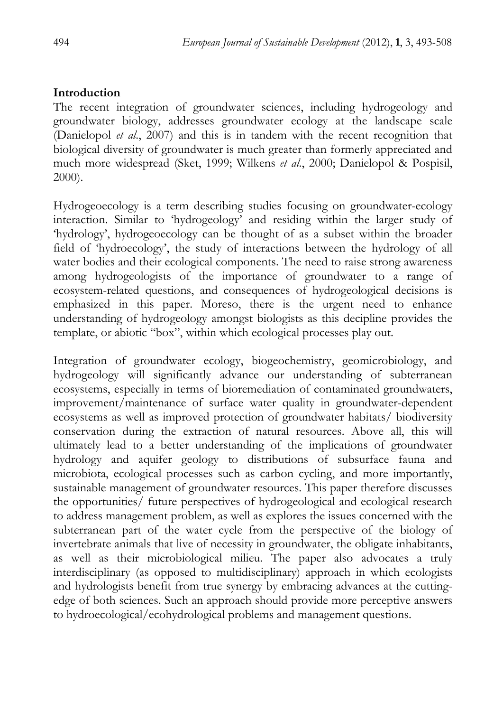## **Introduction**

The recent integration of groundwater sciences, including hydrogeology and groundwater biology, addresses groundwater ecology at the landscape scale (Danielopol *et al*., 2007) and this is in tandem with the recent recognition that biological diversity of groundwater is much greater than formerly appreciated and much more widespread (Sket, 1999; Wilkens *et al*., 2000; Danielopol & Pospisil, 2000).

Hydrogeoecology is a term describing studies focusing on groundwater-ecology interaction. Similar to 'hydrogeology' and residing within the larger study of 'hydrology', hydrogeoecology can be thought of as a subset within the broader field of 'hydroecology', the study of interactions between the hydrology of all water bodies and their ecological components. The need to raise strong awareness among hydrogeologists of the importance of groundwater to a range of ecosystem-related questions, and consequences of hydrogeological decisions is emphasized in this paper. Moreso, there is the urgent need to enhance understanding of hydrogeology amongst biologists as this decipline provides the template, or abiotic "box", within which ecological processes play out.

Integration of groundwater ecology, biogeochemistry, geomicrobiology, and hydrogeology will significantly advance our understanding of subterranean ecosystems, especially in terms of bioremediation of contaminated groundwaters, improvement/maintenance of surface water quality in groundwater-dependent ecosystems as well as improved protection of groundwater habitats/ biodiversity conservation during the extraction of natural resources. Above all, this will ultimately lead to a better understanding of the implications of groundwater hydrology and aquifer geology to distributions of subsurface fauna and microbiota, ecological processes such as carbon cycling, and more importantly, sustainable management of groundwater resources. This paper therefore discusses the opportunities/ future perspectives of hydrogeological and ecological research to address management problem, as well as explores the issues concerned with the subterranean part of the water cycle from the perspective of the biology of invertebrate animals that live of necessity in groundwater, the obligate inhabitants, as well as their microbiological milieu. The paper also advocates a truly interdisciplinary (as opposed to multidisciplinary) approach in which ecologists and hydrologists benefit from true synergy by embracing advances at the cuttingedge of both sciences. Such an approach should provide more perceptive answers to hydroecological/ecohydrological problems and management questions.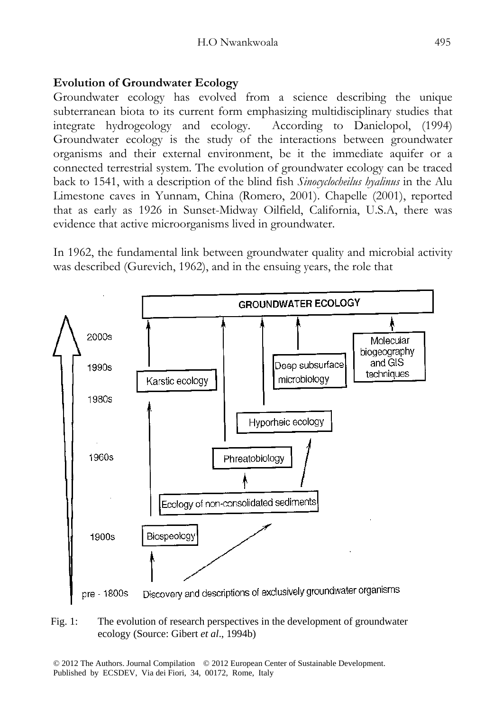## **Evolution of Groundwater Ecology**

Groundwater ecology has evolved from a science describing the unique subterranean biota to its current form emphasizing multidisciplinary studies that integrate hydrogeology and ecology. According to Danielopol, (1994) Groundwater ecology is the study of the interactions between groundwater organisms and their external environment, be it the immediate aquifer or a connected terrestrial system. The evolution of groundwater ecology can be traced back to 1541, with a description of the blind fish *Sinocyclocheilus hyalinus* in the Alu Limestone caves in Yunnam, China (Romero, 2001). Chapelle (2001), reported that as early as 1926 in Sunset-Midway Oilfield, California, U.S.A, there was evidence that active microorganisms lived in groundwater.

In 1962, the fundamental link between groundwater quality and microbial activity was described (Gurevich, 1962), and in the ensuing years, the role that



#### Fig. 1: The evolution of research perspectives in the development of groundwater ecology (Source: Gibert *et al*., 1994b)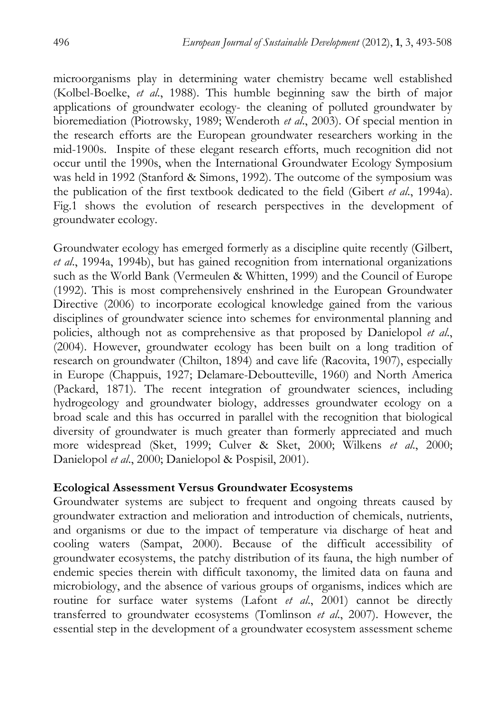microorganisms play in determining water chemistry became well established (Kolbel-Boelke, *et al*., 1988). This humble beginning saw the birth of major applications of groundwater ecology- the cleaning of polluted groundwater by bioremediation (Piotrowsky, 1989; Wenderoth *et al*., 2003). Of special mention in the research efforts are the European groundwater researchers working in the mid-1900s. Inspite of these elegant research efforts, much recognition did not occur until the 1990s, when the International Groundwater Ecology Symposium was held in 1992 (Stanford & Simons, 1992). The outcome of the symposium was the publication of the first textbook dedicated to the field (Gibert *et al*., 1994a). Fig.1 shows the evolution of research perspectives in the development of groundwater ecology.

Groundwater ecology has emerged formerly as a discipline quite recently (Gilbert, *et al*., 1994a, 1994b), but has gained recognition from international organizations such as the World Bank (Vermeulen & Whitten, 1999) and the Council of Europe (1992). This is most comprehensively enshrined in the European Groundwater Directive (2006) to incorporate ecological knowledge gained from the various disciplines of groundwater science into schemes for environmental planning and policies, although not as comprehensive as that proposed by Danielopol *et al*., (2004). However, groundwater ecology has been built on a long tradition of research on groundwater (Chilton, 1894) and cave life (Racovita, 1907), especially in Europe (Chappuis, 1927; Delamare-Deboutteville, 1960) and North America (Packard, 1871). The recent integration of groundwater sciences, including hydrogeology and groundwater biology, addresses groundwater ecology on a broad scale and this has occurred in parallel with the recognition that biological diversity of groundwater is much greater than formerly appreciated and much more widespread (Sket, 1999; Culver & Sket, 2000; Wilkens *et al*., 2000; Danielopol *et al*., 2000; Danielopol & Pospisil, 2001).

#### **Ecological Assessment Versus Groundwater Ecosystems**

Groundwater systems are subject to frequent and ongoing threats caused by groundwater extraction and melioration and introduction of chemicals, nutrients, and organisms or due to the impact of temperature via discharge of heat and cooling waters (Sampat, 2000). Because of the difficult accessibility of groundwater ecosystems, the patchy distribution of its fauna, the high number of endemic species therein with difficult taxonomy, the limited data on fauna and microbiology, and the absence of various groups of organisms, indices which are routine for surface water systems (Lafont *et al*., 2001) cannot be directly transferred to groundwater ecosystems (Tomlinson *et al*., 2007). However, the essential step in the development of a groundwater ecosystem assessment scheme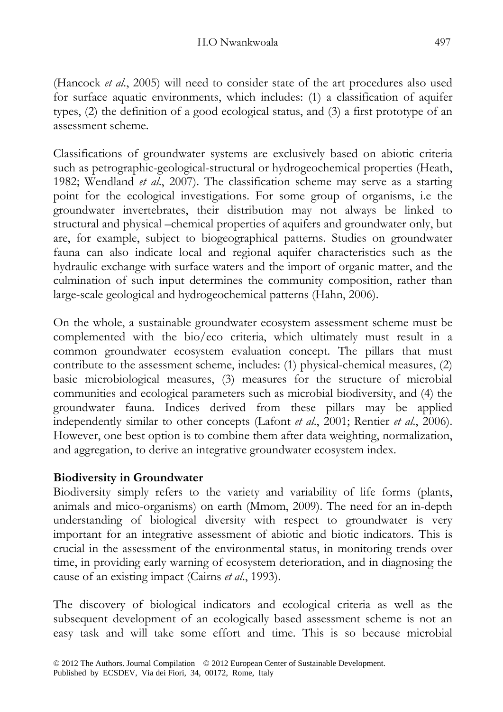(Hancock *et al*., 2005) will need to consider state of the art procedures also used for surface aquatic environments, which includes: (1) a classification of aquifer types, (2) the definition of a good ecological status, and (3) a first prototype of an assessment scheme.

Classifications of groundwater systems are exclusively based on abiotic criteria such as petrographic-geological-structural or hydrogeochemical properties (Heath, 1982; Wendland *et al*., 2007). The classification scheme may serve as a starting point for the ecological investigations. For some group of organisms, i.e the groundwater invertebrates, their distribution may not always be linked to structural and physical –chemical properties of aquifers and groundwater only, but are, for example, subject to biogeographical patterns. Studies on groundwater fauna can also indicate local and regional aquifer characteristics such as the hydraulic exchange with surface waters and the import of organic matter, and the culmination of such input determines the community composition, rather than large-scale geological and hydrogeochemical patterns (Hahn, 2006).

On the whole, a sustainable groundwater ecosystem assessment scheme must be complemented with the bio/eco criteria, which ultimately must result in a common groundwater ecosystem evaluation concept. The pillars that must contribute to the assessment scheme, includes: (1) physical-chemical measures, (2) basic microbiological measures, (3) measures for the structure of microbial communities and ecological parameters such as microbial biodiversity, and (4) the groundwater fauna. Indices derived from these pillars may be applied independently similar to other concepts (Lafont *et al*., 2001; Rentier *et al*., 2006). However, one best option is to combine them after data weighting, normalization, and aggregation, to derive an integrative groundwater ecosystem index.

## **Biodiversity in Groundwater**

Biodiversity simply refers to the variety and variability of life forms (plants, animals and mico-organisms) on earth (Mmom, 2009). The need for an in-depth understanding of biological diversity with respect to groundwater is very important for an integrative assessment of abiotic and biotic indicators. This is crucial in the assessment of the environmental status, in monitoring trends over time, in providing early warning of ecosystem deterioration, and in diagnosing the cause of an existing impact (Cairns *et al*., 1993).

The discovery of biological indicators and ecological criteria as well as the subsequent development of an ecologically based assessment scheme is not an easy task and will take some effort and time. This is so because microbial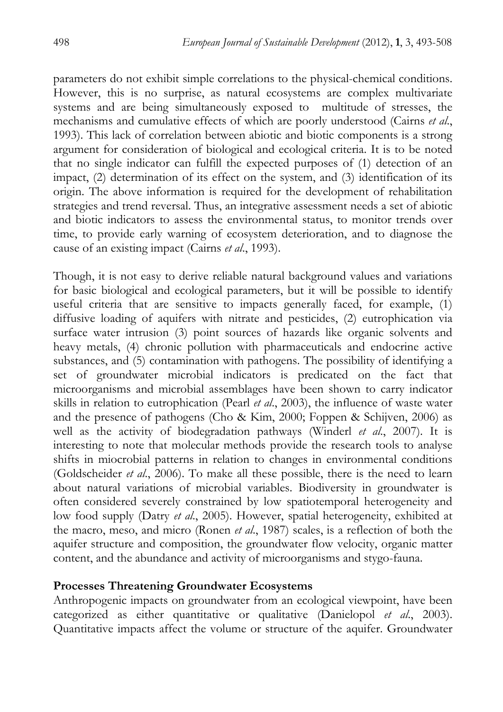parameters do not exhibit simple correlations to the physical-chemical conditions. However, this is no surprise, as natural ecosystems are complex multivariate systems and are being simultaneously exposed to multitude of stresses, the mechanisms and cumulative effects of which are poorly understood (Cairns *et al*., 1993). This lack of correlation between abiotic and biotic components is a strong argument for consideration of biological and ecological criteria. It is to be noted that no single indicator can fulfill the expected purposes of (1) detection of an impact, (2) determination of its effect on the system, and (3) identification of its origin. The above information is required for the development of rehabilitation strategies and trend reversal. Thus, an integrative assessment needs a set of abiotic and biotic indicators to assess the environmental status, to monitor trends over time, to provide early warning of ecosystem deterioration, and to diagnose the cause of an existing impact (Cairns *et al*., 1993).

Though, it is not easy to derive reliable natural background values and variations for basic biological and ecological parameters, but it will be possible to identify useful criteria that are sensitive to impacts generally faced, for example, (1) diffusive loading of aquifers with nitrate and pesticides, (2) eutrophication via surface water intrusion (3) point sources of hazards like organic solvents and heavy metals, (4) chronic pollution with pharmaceuticals and endocrine active substances, and (5) contamination with pathogens. The possibility of identifying a set of groundwater microbial indicators is predicated on the fact that microorganisms and microbial assemblages have been shown to carry indicator skills in relation to eutrophication (Pearl *et al*., 2003), the influence of waste water and the presence of pathogens (Cho & Kim, 2000; Foppen & Schijven, 2006) as well as the activity of biodegradation pathways (Winderl *et al*., 2007). It is interesting to note that molecular methods provide the research tools to analyse shifts in miocrobial patterns in relation to changes in environmental conditions (Goldscheider *et al*., 2006). To make all these possible, there is the need to learn about natural variations of microbial variables. Biodiversity in groundwater is often considered severely constrained by low spatiotemporal heterogeneity and low food supply (Datry *et al*., 2005). However, spatial heterogeneity, exhibited at the macro, meso, and micro (Ronen *et al*., 1987) scales, is a reflection of both the aquifer structure and composition, the groundwater flow velocity, organic matter content, and the abundance and activity of microorganisms and stygo-fauna.

#### **Processes Threatening Groundwater Ecosystems**

Anthropogenic impacts on groundwater from an ecological viewpoint, have been categorized as either quantitative or qualitative (Danielopol *et al*., 2003). Quantitative impacts affect the volume or structure of the aquifer. Groundwater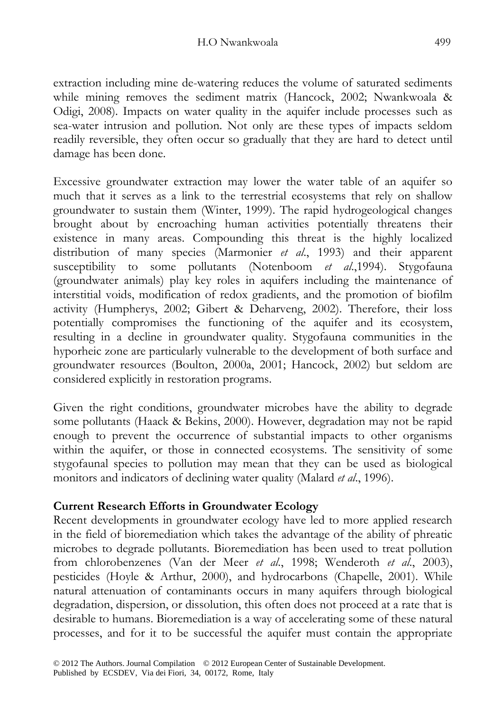extraction including mine de-watering reduces the volume of saturated sediments while mining removes the sediment matrix (Hancock, 2002; Nwankwoala & Odigi, 2008). Impacts on water quality in the aquifer include processes such as sea-water intrusion and pollution. Not only are these types of impacts seldom readily reversible, they often occur so gradually that they are hard to detect until damage has been done.

Excessive groundwater extraction may lower the water table of an aquifer so much that it serves as a link to the terrestrial ecosystems that rely on shallow groundwater to sustain them (Winter, 1999). The rapid hydrogeological changes brought about by encroaching human activities potentially threatens their existence in many areas. Compounding this threat is the highly localized distribution of many species (Marmonier *et al*., 1993) and their apparent susceptibility to some pollutants (Notenboom *et al*.,1994). Stygofauna (groundwater animals) play key roles in aquifers including the maintenance of interstitial voids, modification of redox gradients, and the promotion of biofilm activity (Humpherys, 2002; Gibert & Deharveng, 2002). Therefore, their loss potentially compromises the functioning of the aquifer and its ecosystem, resulting in a decline in groundwater quality. Stygofauna communities in the hyporheic zone are particularly vulnerable to the development of both surface and groundwater resources (Boulton, 2000a, 2001; Hancock, 2002) but seldom are considered explicitly in restoration programs.

Given the right conditions, groundwater microbes have the ability to degrade some pollutants (Haack & Bekins, 2000). However, degradation may not be rapid enough to prevent the occurrence of substantial impacts to other organisms within the aquifer, or those in connected ecosystems. The sensitivity of some stygofaunal species to pollution may mean that they can be used as biological monitors and indicators of declining water quality (Malard *et al*., 1996).

## **Current Research Efforts in Groundwater Ecology**

Recent developments in groundwater ecology have led to more applied research in the field of bioremediation which takes the advantage of the ability of phreatic microbes to degrade pollutants. Bioremediation has been used to treat pollution from chlorobenzenes (Van der Meer *et al*., 1998; Wenderoth *et al*., 2003), pesticides (Hoyle & Arthur, 2000), and hydrocarbons (Chapelle, 2001). While natural attenuation of contaminants occurs in many aquifers through biological degradation, dispersion, or dissolution, this often does not proceed at a rate that is desirable to humans. Bioremediation is a way of accelerating some of these natural processes, and for it to be successful the aquifer must contain the appropriate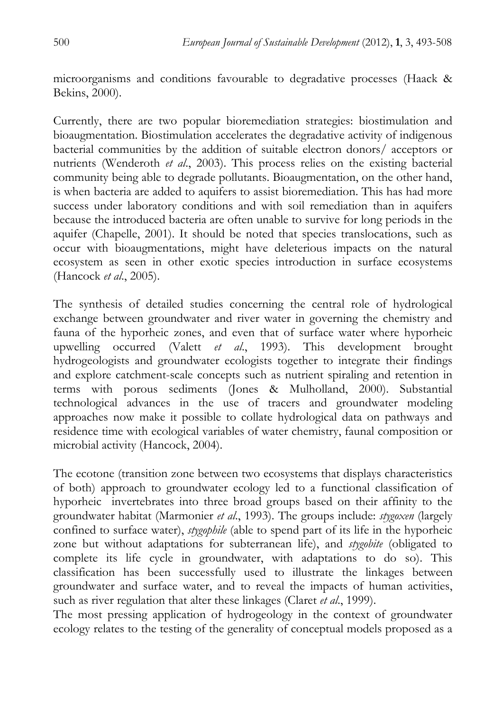microorganisms and conditions favourable to degradative processes (Haack & Bekins, 2000).

Currently, there are two popular bioremediation strategies: biostimulation and bioaugmentation. Biostimulation accelerates the degradative activity of indigenous bacterial communities by the addition of suitable electron donors/ acceptors or nutrients (Wenderoth *et al*., 2003). This process relies on the existing bacterial community being able to degrade pollutants. Bioaugmentation, on the other hand, is when bacteria are added to aquifers to assist bioremediation. This has had more success under laboratory conditions and with soil remediation than in aquifers because the introduced bacteria are often unable to survive for long periods in the aquifer (Chapelle, 2001). It should be noted that species translocations, such as occur with bioaugmentations, might have deleterious impacts on the natural ecosystem as seen in other exotic species introduction in surface ecosystems (Hancock *et al*., 2005).

The synthesis of detailed studies concerning the central role of hydrological exchange between groundwater and river water in governing the chemistry and fauna of the hyporheic zones, and even that of surface water where hyporheic upwelling occurred (Valett *et al*., 1993). This development brought hydrogeologists and groundwater ecologists together to integrate their findings and explore catchment-scale concepts such as nutrient spiraling and retention in terms with porous sediments (Jones & Mulholland, 2000). Substantial technological advances in the use of tracers and groundwater modeling approaches now make it possible to collate hydrological data on pathways and residence time with ecological variables of water chemistry, faunal composition or microbial activity (Hancock, 2004).

The ecotone (transition zone between two ecosystems that displays characteristics of both) approach to groundwater ecology led to a functional classification of hyporheic invertebrates into three broad groups based on their affinity to the groundwater habitat (Marmonier *et al*., 1993). The groups include: *stygoxen* (largely confined to surface water), *stygophile* (able to spend part of its life in the hyporheic zone but without adaptations for subterranean life), and *stygobite* (obligated to complete its life cycle in groundwater, with adaptations to do so). This classification has been successfully used to illustrate the linkages between groundwater and surface water, and to reveal the impacts of human activities, such as river regulation that alter these linkages (Claret *et al*., 1999).

The most pressing application of hydrogeology in the context of groundwater ecology relates to the testing of the generality of conceptual models proposed as a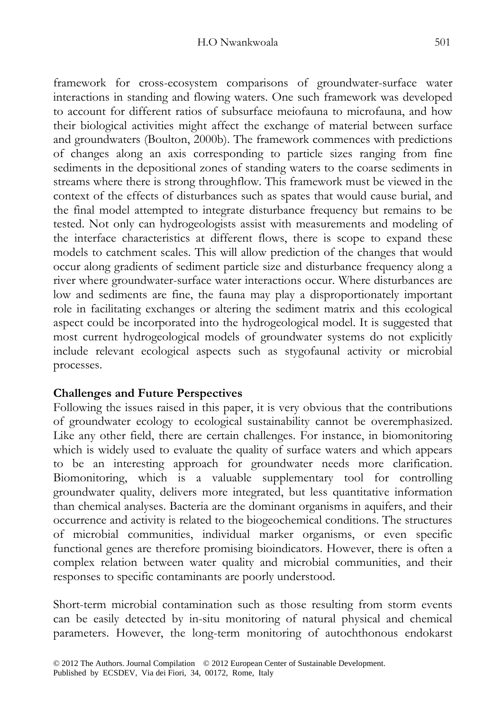framework for cross-ecosystem comparisons of groundwater-surface water interactions in standing and flowing waters. One such framework was developed to account for different ratios of subsurface meiofauna to microfauna, and how their biological activities might affect the exchange of material between surface and groundwaters (Boulton, 2000b). The framework commences with predictions of changes along an axis corresponding to particle sizes ranging from fine sediments in the depositional zones of standing waters to the coarse sediments in streams where there is strong throughflow. This framework must be viewed in the context of the effects of disturbances such as spates that would cause burial, and the final model attempted to integrate disturbance frequency but remains to be tested. Not only can hydrogeologists assist with measurements and modeling of the interface characteristics at different flows, there is scope to expand these models to catchment scales. This will allow prediction of the changes that would occur along gradients of sediment particle size and disturbance frequency along a river where groundwater-surface water interactions occur. Where disturbances are low and sediments are fine, the fauna may play a disproportionately important role in facilitating exchanges or altering the sediment matrix and this ecological aspect could be incorporated into the hydrogeological model. It is suggested that most current hydrogeological models of groundwater systems do not explicitly include relevant ecological aspects such as stygofaunal activity or microbial processes.

## **Challenges and Future Perspectives**

Following the issues raised in this paper, it is very obvious that the contributions of groundwater ecology to ecological sustainability cannot be overemphasized. Like any other field, there are certain challenges. For instance, in biomonitoring which is widely used to evaluate the quality of surface waters and which appears to be an interesting approach for groundwater needs more clarification. Biomonitoring, which is a valuable supplementary tool for controlling groundwater quality, delivers more integrated, but less quantitative information than chemical analyses. Bacteria are the dominant organisms in aquifers, and their occurrence and activity is related to the biogeochemical conditions. The structures of microbial communities, individual marker organisms, or even specific functional genes are therefore promising bioindicators. However, there is often a complex relation between water quality and microbial communities, and their responses to specific contaminants are poorly understood.

Short-term microbial contamination such as those resulting from storm events can be easily detected by in-situ monitoring of natural physical and chemical parameters. However, the long-term monitoring of autochthonous endokarst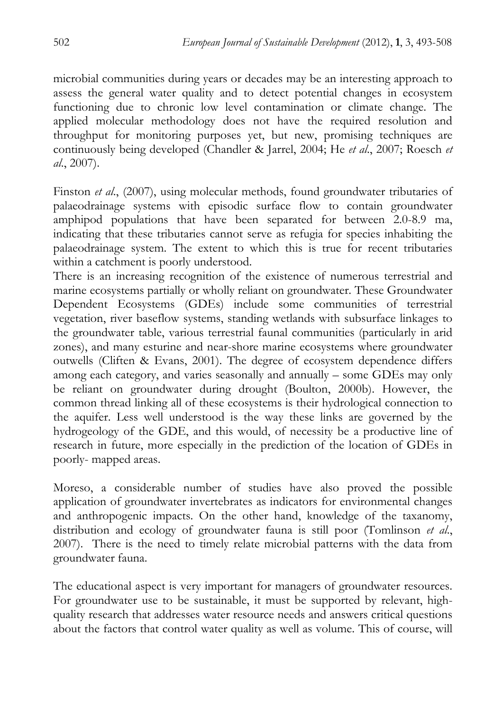microbial communities during years or decades may be an interesting approach to assess the general water quality and to detect potential changes in ecosystem functioning due to chronic low level contamination or climate change. The applied molecular methodology does not have the required resolution and throughput for monitoring purposes yet, but new, promising techniques are continuously being developed (Chandler & Jarrel, 2004; He *et al*., 2007; Roesch *et al*., 2007).

Finston *et al*., (2007), using molecular methods, found groundwater tributaries of palaeodrainage systems with episodic surface flow to contain groundwater amphipod populations that have been separated for between 2.0-8.9 ma, indicating that these tributaries cannot serve as refugia for species inhabiting the palaeodrainage system. The extent to which this is true for recent tributaries within a catchment is poorly understood.

There is an increasing recognition of the existence of numerous terrestrial and marine ecosystems partially or wholly reliant on groundwater. These Groundwater Dependent Ecosystems (GDEs) include some communities of terrestrial vegetation, river baseflow systems, standing wetlands with subsurface linkages to the groundwater table, various terrestrial faunal communities (particularly in arid zones), and many esturine and near-shore marine ecosystems where groundwater outwells (Cliften & Evans, 2001). The degree of ecosystem dependence differs among each category, and varies seasonally and annually – some GDEs may only be reliant on groundwater during drought (Boulton, 2000b). However, the common thread linking all of these ecosystems is their hydrological connection to the aquifer. Less well understood is the way these links are governed by the hydrogeology of the GDE, and this would, of necessity be a productive line of research in future, more especially in the prediction of the location of GDEs in poorly- mapped areas.

Moreso, a considerable number of studies have also proved the possible application of groundwater invertebrates as indicators for environmental changes and anthropogenic impacts. On the other hand, knowledge of the taxanomy, distribution and ecology of groundwater fauna is still poor (Tomlinson *et al*., 2007). There is the need to timely relate microbial patterns with the data from groundwater fauna.

The educational aspect is very important for managers of groundwater resources. For groundwater use to be sustainable, it must be supported by relevant, highquality research that addresses water resource needs and answers critical questions about the factors that control water quality as well as volume. This of course, will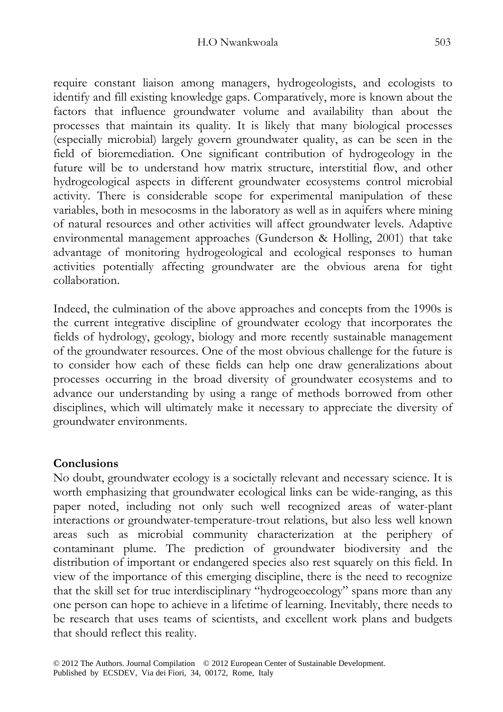require constant liaison among managers, hydrogeologists, and ecologists to identify and fill existing knowledge gaps. Comparatively, more is known about the factors that influence groundwater volume and availability than about the processes that maintain its quality. It is likely that many biological processes (especially microbial) largely govern groundwater quality, as can be seen in the field of bioremediation. One significant contribution of hydrogeology in the future will be to understand how matrix structure, interstitial flow, and other hydrogeological aspects in different groundwater ecosystems control microbial activity. There is considerable scope for experimental manipulation of these variables, both in mesocosms in the laboratory as well as in aquifers where mining of natural resources and other activities will affect groundwater levels. Adaptive environmental management approaches (Gunderson & Holling, 2001) that take advantage of monitoring hydrogeological and ecological responses to human activities potentially affecting groundwater are the obvious arena for tight collaboration.

Indeed, the culmination of the above approaches and concepts from the 1990s is the current integrative discipline of groundwater ecology that incorporates the fields of hydrology, geology, biology and more recently sustainable management of the groundwater resources. One of the most obvious challenge for the future is to consider how each of these fields can help one draw generalizations about processes occurring in the broad diversity of groundwater ecosystems and to advance our understanding by using a range of methods borrowed from other disciplines, which will ultimately make it necessary to appreciate the diversity of groundwater environments.

## **Conclusions**

No doubt, groundwater ecology is a societally relevant and necessary science. It is worth emphasizing that groundwater ecological links can be wide-ranging, as this paper noted, including not only such well recognized areas of water-plant interactions or groundwater-temperature-trout relations, but also less well known areas such as microbial community characterization at the periphery of contaminant plume. The prediction of groundwater biodiversity and the distribution of important or endangered species also rest squarely on this field. In view of the importance of this emerging discipline, there is the need to recognize that the skill set for true interdisciplinary "hydrogeoecology" spans more than any one person can hope to achieve in a lifetime of learning. Inevitably, there needs to be research that uses teams of scientists, and excellent work plans and budgets that should reflect this reality.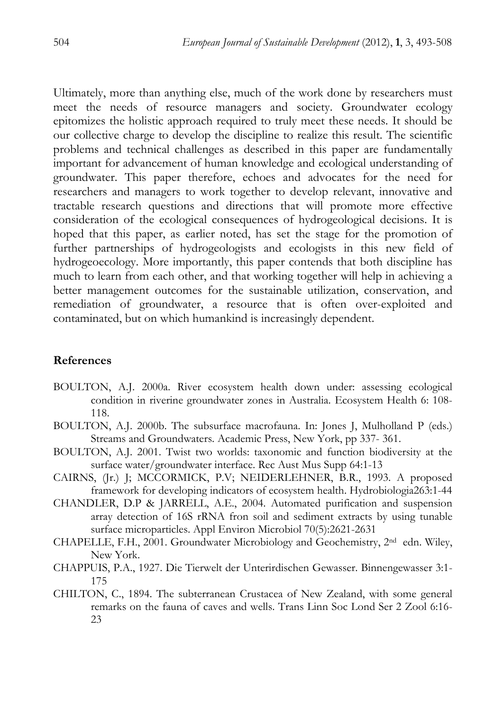Ultimately, more than anything else, much of the work done by researchers must meet the needs of resource managers and society. Groundwater ecology epitomizes the holistic approach required to truly meet these needs. It should be our collective charge to develop the discipline to realize this result. The scientific problems and technical challenges as described in this paper are fundamentally important for advancement of human knowledge and ecological understanding of groundwater. This paper therefore, echoes and advocates for the need for researchers and managers to work together to develop relevant, innovative and tractable research questions and directions that will promote more effective consideration of the ecological consequences of hydrogeological decisions. It is hoped that this paper, as earlier noted, has set the stage for the promotion of further partnerships of hydrogeologists and ecologists in this new field of hydrogeoecology. More importantly, this paper contends that both discipline has much to learn from each other, and that working together will help in achieving a better management outcomes for the sustainable utilization, conservation, and remediation of groundwater, a resource that is often over-exploited and contaminated, but on which humankind is increasingly dependent.

#### **References**

- BOULTON, A.J. 2000a. River ecosystem health down under: assessing ecological condition in riverine groundwater zones in Australia. Ecosystem Health 6: 108- 118.
- BOULTON, A.J. 2000b. The subsurface macrofauna. In: Jones J, Mulholland P (eds.) Streams and Groundwaters. Academic Press, New York, pp 337- 361.
- BOULTON, A.J. 2001. Twist two worlds: taxonomic and function biodiversity at the surface water/groundwater interface. Rec Aust Mus Supp 64:1-13
- CAIRNS, (Jr.) J; MCCORMICK, P.V; NEIDERLEHNER, B.R., 1993. A proposed framework for developing indicators of ecosystem health. Hydrobiologia263:1-44
- CHANDLER, D.P & JARRELL, A.E., 2004. Automated purification and suspension array detection of 16S rRNA fron soil and sediment extracts by using tunable surface microparticles. Appl Environ Microbiol 70(5):2621-2631
- CHAPELLE, F.H., 2001. Groundwater Microbiology and Geochemistry, 2nd edn. Wiley, New York.
- CHAPPUIS, P.A., 1927. Die Tierwelt der Unterirdischen Gewasser. Binnengewasser 3:1- 175
- CHILTON, C., 1894. The subterranean Crustacea of New Zealand, with some general remarks on the fauna of caves and wells. Trans Linn Soc Lond Ser 2 Zool 6:16- 23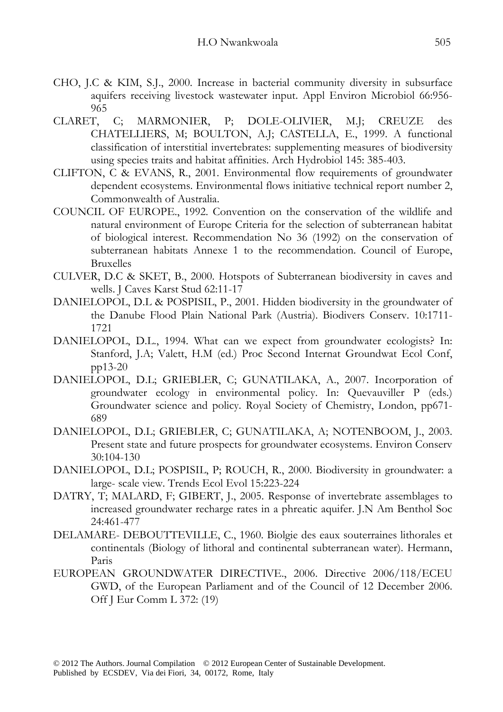- CHO, J.C & KIM, S.J., 2000. Increase in bacterial community diversity in subsurface aquifers receiving livestock wastewater input. Appl Environ Microbiol 66:956- 965
- CLARET, C; MARMONIER, P; DOLE-OLIVIER, M.J; CREUZE des CHATELLIERS, M; BOULTON, A.J; CASTELLA, E., 1999. A functional classification of interstitial invertebrates: supplementing measures of biodiversity using species traits and habitat affinities. Arch Hydrobiol 145: 385-403.
- CLIFTON, C & EVANS, R., 2001. Environmental flow requirements of groundwater dependent ecosystems. Environmental flows initiative technical report number 2, Commonwealth of Australia.
- COUNCIL OF EUROPE., 1992. Convention on the conservation of the wildlife and natural environment of Europe Criteria for the selection of subterranean habitat of biological interest. Recommendation No 36 (1992) on the conservation of subterranean habitats Annexe 1 to the recommendation. Council of Europe, Bruxelles
- CULVER, D.C & SKET, B., 2000. Hotspots of Subterranean biodiversity in caves and wells. J Caves Karst Stud 62:11-17
- DANIELOPOL, D.L & POSPISIL, P., 2001. Hidden biodiversity in the groundwater of the Danube Flood Plain National Park (Austria). Biodivers Conserv. 10:1711- 1721
- DANIELOPOL, D.L., 1994. What can we expect from groundwater ecologists? In: Stanford, J.A; Valett, H.M (ed.) Proc Second Internat Groundwat Ecol Conf, pp13-20
- DANIELOPOL, D.L; GRIEBLER, C; GUNATILAKA, A., 2007. Incorporation of groundwater ecology in environmental policy. In: Quevauviller P (eds.) Groundwater science and policy. Royal Society of Chemistry, London, pp671- 689
- DANIELOPOL, D.L; GRIEBLER, C; GUNATILAKA, A; NOTENBOOM, J., 2003. Present state and future prospects for groundwater ecosystems. Environ Conserv 30:104-130
- DANIELOPOL, D.L; POSPISIL, P; ROUCH, R., 2000. Biodiversity in groundwater: a large- scale view. Trends Ecol Evol 15:223-224
- DATRY, T; MALARD, F; GIBERT, J., 2005. Response of invertebrate assemblages to increased groundwater recharge rates in a phreatic aquifer. J.N Am Benthol Soc 24:461-477
- DELAMARE- DEBOUTTEVILLE, C., 1960. Biolgie des eaux souterraines lithorales et continentals (Biology of lithoral and continental subterranean water). Hermann, Paris
- EUROPEAN GROUNDWATER DIRECTIVE., 2006. Directive 2006/118/ECEU GWD, of the European Parliament and of the Council of 12 December 2006. Off J Eur Comm L 372: (19)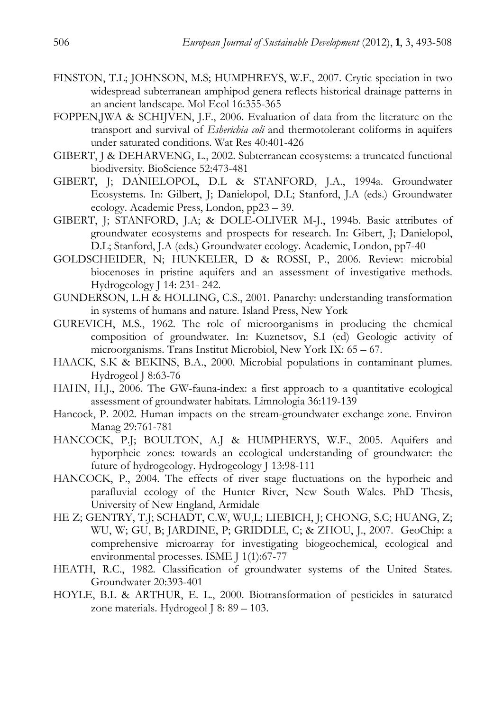- FINSTON, T.L; JOHNSON, M.S; HUMPHREYS, W.F., 2007. Crytic speciation in two widespread subterranean amphipod genera reflects historical drainage patterns in an ancient landscape. Mol Ecol 16:355-365
- FOPPEN,JWA & SCHIJVEN, J.F., 2006. Evaluation of data from the literature on the transport and survival of *Esherichia coli* and thermotolerant coliforms in aquifers under saturated conditions. Wat Res 40:401-426
- GIBERT, J & DEHARVENG, L., 2002. Subterranean ecosystems: a truncated functional biodiversity. BioScience 52:473-481
- GIBERT, J; DANIELOPOL, D.L & STANFORD, J.A., 1994a. Groundwater Ecosystems. In: Gilbert, J; Danielopol, D.L; Stanford, J.A (eds.) Groundwater ecology. Academic Press, London, pp23 – 39.
- GIBERT, J; STANFORD, J.A; & DOLE-OLIVER M-J., 1994b. Basic attributes of groundwater ecosystems and prospects for research. In: Gibert, J; Danielopol, D.L; Stanford, J.A (eds.) Groundwater ecology. Academic, London, pp7-40
- GOLDSCHEIDER, N; HUNKELER, D & ROSSI, P., 2006. Review: microbial biocenoses in pristine aquifers and an assessment of investigative methods. Hydrogeology J 14: 231- 242.
- GUNDERSON, L.H & HOLLING, C.S., 2001. Panarchy: understanding transformation in systems of humans and nature. Island Press, New York
- GUREVICH, M.S., 1962. The role of microorganisms in producing the chemical composition of groundwater. In: Kuznetsov, S.I (ed) Geologic activity of microorganisms. Trans Institut Microbiol, New York IX: 65 – 67.
- HAACK, S.K & BEKINS, B.A., 2000. Microbial populations in contaminant plumes. Hydrogeol J 8:63-76
- HAHN, H.J., 2006. The GW-fauna-index: a first approach to a quantitative ecological assessment of groundwater habitats. Limnologia 36:119-139
- Hancock, P. 2002. Human impacts on the stream-groundwater exchange zone. Environ Manag 29:761-781
- HANCOCK, P.J; BOULTON, A.J & HUMPHERYS, W.F., 2005. Aquifers and hyporpheic zones: towards an ecological understanding of groundwater: the future of hydrogeology. Hydrogeology J 13:98-111
- HANCOCK, P., 2004. The effects of river stage fluctuations on the hyporheic and parafluvial ecology of the Hunter River, New South Wales. PhD Thesis, University of New England, Armidale
- HE Z; GENTRY, T.J; SCHADT, C.W, WU,L; LIEBICH, J; CHONG, S.C; HUANG, Z; WU, W; GU, B; JARDINE, P; GRIDDLE, C; & ZHOU, J., 2007. GeoChip: a comprehensive microarray for investigating biogeochemical, ecological and environmental processes. ISME J 1(1):67-77
- HEATH, R.C., 1982. Classification of groundwater systems of the United States. Groundwater 20:393-401
- HOYLE, B.L & ARTHUR, E. L., 2000. Biotransformation of pesticides in saturated zone materials. Hydrogeol J 8: 89 – 103.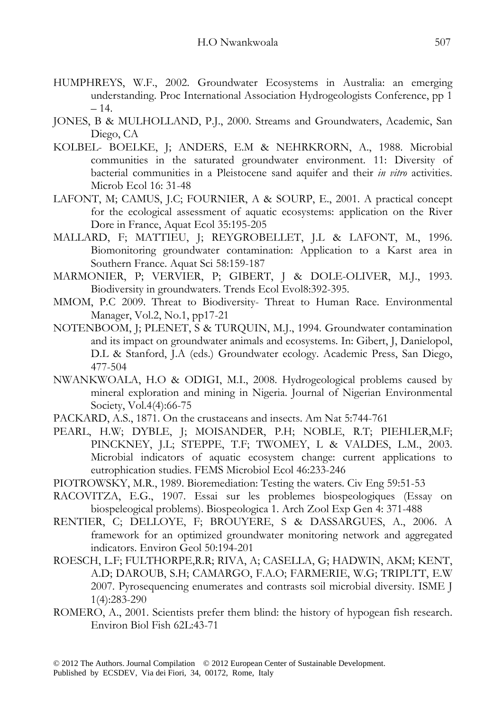- HUMPHREYS, W.F., 2002. Groundwater Ecosystems in Australia: an emerging understanding. Proc International Association Hydrogeologists Conference, pp 1  $-14.$
- JONES, B & MULHOLLAND, P.J., 2000. Streams and Groundwaters, Academic, San Diego, CA
- KOLBEL- BOELKE, J; ANDERS, E.M & NEHRKRORN, A., 1988. Microbial communities in the saturated groundwater environment. 11: Diversity of bacterial communities in a Pleistocene sand aquifer and their *in vitro* activities. Microb Ecol 16: 31-48
- LAFONT, M; CAMUS, J.C; FOURNIER, A & SOURP, E., 2001. A practical concept for the ecological assessment of aquatic ecosystems: application on the River Dore in France, Aquat Ecol 35:195-205
- MALLARD, F; MATTIEU, J; REYGROBELLET, J.L & LAFONT, M., 1996. Biomonitoring groundwater contamination: Application to a Karst area in Southern France. Aquat Sci 58:159-187
- MARMONIER, P; VERVIER, P; GIBERT, J & DOLE-OLIVER, M.J., 1993. Biodiversity in groundwaters. Trends Ecol Evol8:392-395.
- MMOM, P.C 2009. Threat to Biodiversity- Threat to Human Race. Environmental Manager, Vol.2, No.1, pp17-21
- NOTENBOOM, J; PLENET, S & TURQUIN, M.J., 1994. Groundwater contamination and its impact on groundwater animals and ecosystems. In: Gibert, J, Danielopol, D.L & Stanford, J.A (eds.) Groundwater ecology. Academic Press, San Diego, 477-504
- NWANKWOALA, H.O & ODIGI, M.I., 2008. Hydrogeological problems caused by mineral exploration and mining in Nigeria. Journal of Nigerian Environmental Society, Vol.4(4):66-75
- PACKARD, A.S., 1871. On the crustaceans and insects. Am Nat 5:744-761
- PEARL, H.W; DYBLE, J; MOISANDER, P.H; NOBLE, R.T; PIEHLER,M.F; PINCKNEY, J.L; STEPPE, T.F; TWOMEY, L & VALDES, L.M., 2003. Microbial indicators of aquatic ecosystem change: current applications to eutrophication studies. FEMS Microbiol Ecol 46:233-246
- PIOTROWSKY, M.R., 1989. Bioremediation: Testing the waters. Civ Eng 59:51-53
- RACOVITZA, E.G., 1907. Essai sur les problemes biospeologiques (Essay on biospeleogical problems). Biospeologica 1. Arch Zool Exp Gen 4: 371-488
- RENTIER, C; DELLOYE, F; BROUYERE, S & DASSARGUES, A., 2006. A framework for an optimized groundwater monitoring network and aggregated indicators. Environ Geol 50:194-201
- ROESCH, L.F; FULTHORPE,R.R; RIVA, A; CASELLA, G; HADWIN, AKM; KENT, A.D; DAROUB, S.H; CAMARGO, F.A.O; FARMERIE, W.G; TRIPLTT, E.W 2007. Pyrosequencing enumerates and contrasts soil microbial diversity. ISME J 1(4):283-290
- ROMERO, A., 2001. Scientists prefer them blind: the history of hypogean fish research. Environ Biol Fish 62L:43-71